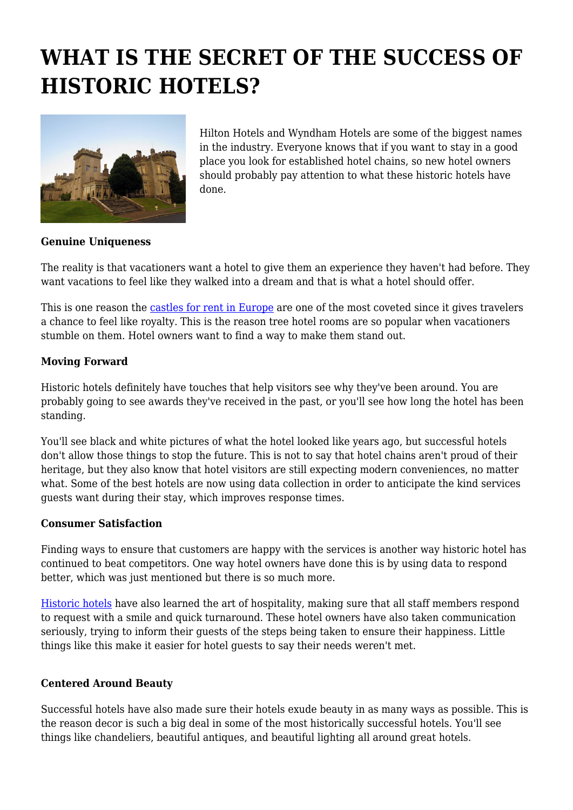# **WHAT IS THE SECRET OF THE SUCCESS OF HISTORIC HOTELS?**



Hilton Hotels and Wyndham Hotels are some of the biggest names in the industry. Everyone knows that if you want to stay in a good place you look for established hotel chains, so new hotel owners should probably pay attention to what these historic hotels have done.

# **Genuine Uniqueness**

The reality is that vacationers want a hotel to give them an experience they haven't had before. They want vacations to feel like they walked into a dream and that is what a hotel should offer.

This is one reason the [castles for rent in Europe](https://www.luxuryretreats.com/rent/chateau-rentals-in-europe) are one of the most coveted since it gives travelers a chance to feel like royalty. This is the reason tree hotel rooms are so popular when vacationers stumble on them. Hotel owners want to find a way to make them stand out.

# **Moving Forward**

Historic hotels definitely have touches that help visitors see why they've been around. You are probably going to see awards they've received in the past, or you'll see how long the hotel has been standing.

You'll see black and white pictures of what the hotel looked like years ago, but successful hotels don't allow those things to stop the future. This is not to say that hotel chains aren't proud of their heritage, but they also know that hotel visitors are still expecting modern conveniences, no matter what. Some of the best hotels are now using data collection in order to anticipate the kind services guests want during their stay, which improves response times.

#### **Consumer Satisfaction**

Finding ways to ensure that customers are happy with the services is another way historic hotel has continued to beat competitors. One way hotel owners have done this is by using data to respond better, which was just mentioned but there is so much more.

[Historic hotels](https://www.architecturaldigest.com/gallery/most-beautifully-restored-historic-hotels-in-europe) have also learned the art of hospitality, making sure that all staff members respond to request with a smile and quick turnaround. These hotel owners have also taken communication seriously, trying to inform their guests of the steps being taken to ensure their happiness. Little things like this make it easier for hotel guests to say their needs weren't met.

# **Centered Around Beauty**

Successful hotels have also made sure their hotels exude beauty in as many ways as possible. This is the reason decor is such a big deal in some of the most historically successful hotels. You'll see things like chandeliers, beautiful antiques, and beautiful lighting all around great hotels.